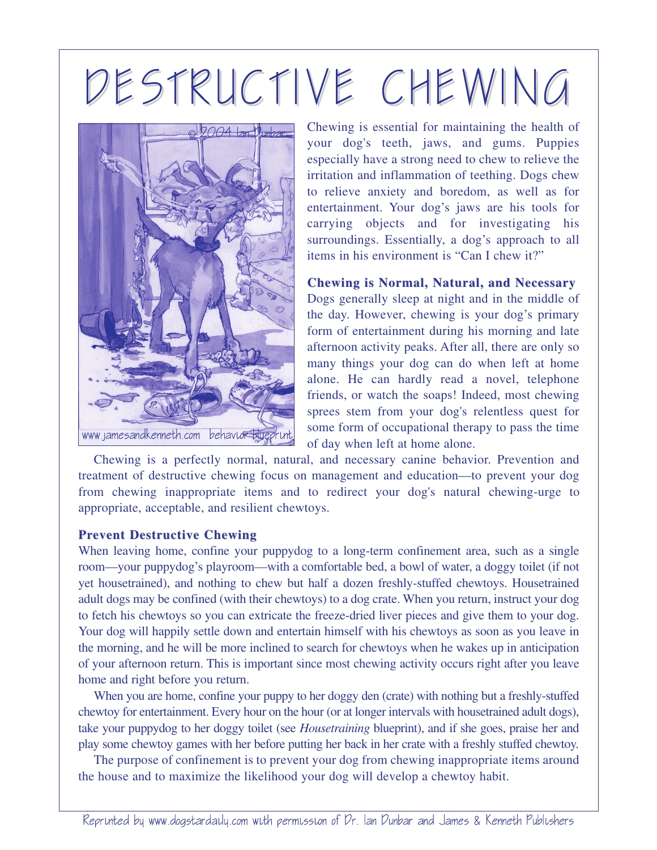## DESTRUCTIVE CHEWING



Chewing is essential for maintaining the health of your dog's teeth, jaws, and gums. Puppies especially have a strong need to chew to relieve the irritation and inflammation of teething. Dogs chew to relieve anxiety and boredom, as well as for entertainment. Your dog's jaws are his tools for carrying objects and for investigating his surroundings. Essentially, a dog's approach to all items in his environment is "Can I chew it?"

**Chewing is Normal, Natural, and Necessary** Dogs generally sleep at night and in the middle of the day. However, chewing is your dog's primary form of entertainment during his morning and late afternoon activity peaks. After all, there are only so many things your dog can do when left at home alone. He can hardly read a novel, telephone friends, or watch the soaps! Indeed, most chewing sprees stem from your dog's relentless quest for some form of occupational therapy to pass the time of day when left at home alone.

Chewing is a perfectly normal, natural, and necessary canine behavior. Prevention and treatment of destructive chewing focus on management and education—to prevent your dog from chewing inappropriate items and to redirect your dog's natural chewing-urge to appropriate, acceptable, and resilient chewtoys.

## **Prevent Destructive Chewing**

When leaving home, confine your puppydog to a long-term confinement area, such as a single room—your puppydog's playroom—with a comfortable bed, a bowl of water, a doggy toilet (if not yet housetrained), and nothing to chew but half a dozen freshly-stuffed chewtoys. Housetrained adult dogs may be confined (with their chewtoys) to a dog crate. When you return, instruct your dog to fetch his chewtoys so you can extricate the freeze-dried liver pieces and give them to your dog. Your dog will happily settle down and entertain himself with his chewtoys as soon as you leave in the morning, and he will be more inclined to search for chewtoys when he wakes up in anticipation of your afternoon return. This is important since most chewing activity occurs right after you leave home and right before you return.

When you are home, confine your puppy to her doggy den (crate) with nothing but a freshly-stuffed chewtoy for entertainment. Every hour on the hour (or at longer intervals with housetrained adult dogs), take your puppydog to her doggy toilet (see *Housetraining* blueprint), and if she goes, praise her and play some chewtoy games with her before putting her back in her crate with a freshly stuffed chewtoy.

The purpose of confinement is to prevent your dog from chewing inappropriate items around the house and to maximize the likelihood your dog will develop a chewtoy habit.